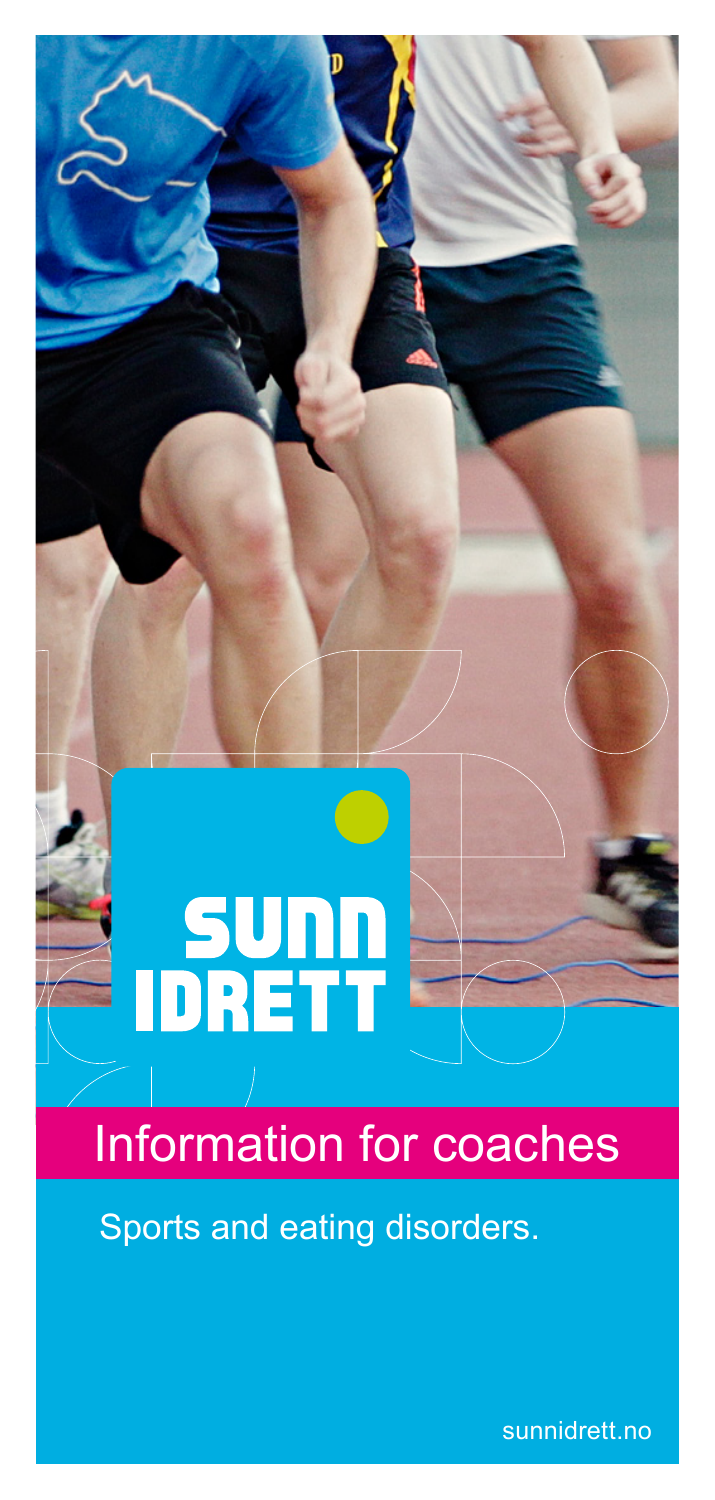

# Information for coaches

Sports and eating disorders.

sunnidrett.no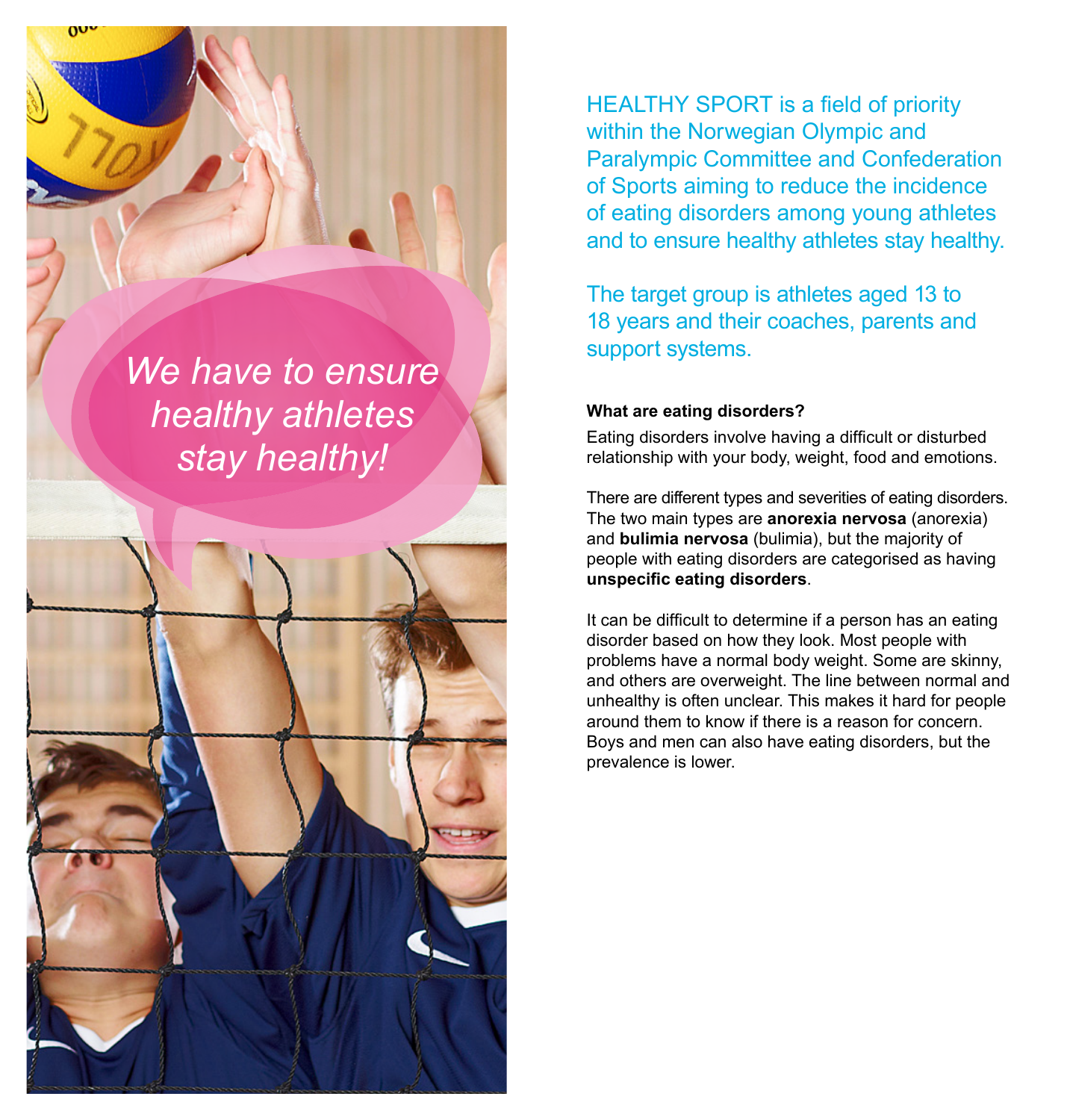*We have to ensure healthy athletes stay healthy!*

ŋυ



HEALTHY SPORT is a field of priority within the Norwegian Olympic and Paralympic Committee and Confederation of Sports aiming to reduce the incidence of eating disorders among young athletes and to ensure healthy athletes stay healthy.

The target group is athletes aged 13 to 18 years and their coaches, parents and support systems.

#### **What are eating disorders?**

Eating disorders involve having a difficult or disturbed relationship with your body, weight, food and emotions.

There are different types and severities of eating disorders. The two main types are **anorexia nervosa** (anorexia) and **bulimia nervosa** (bulimia), but the majority of people with eating disorders are categorised as having **unspecific eating disorders**.

It can be difficult to determine if a person has an eating disorder based on how they look. Most people with problems have a normal body weight. Some are skinny, and others are overweight. The line between normal and unhealthy is often unclear. This makes it hard for people around them to know if there is a reason for concern. Boys and men can also have eating disorders, but the prevalence is lower.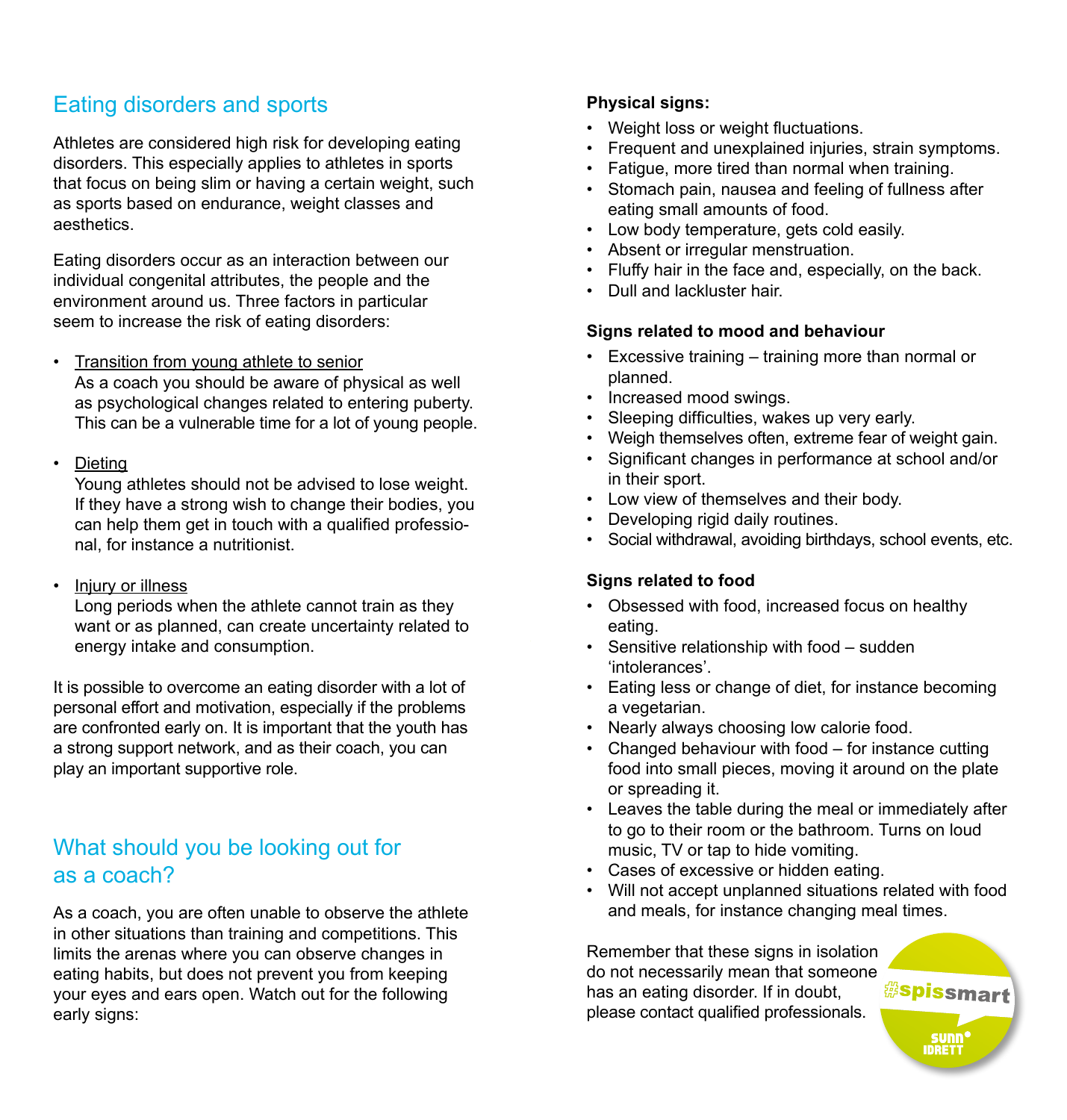# Eating disorders and sports

Athletes are considered high risk for developing eating disorders. This especially applies to athletes in sports that focus on being slim or having a certain weight, such as sports based on endurance, weight classes and aesthetics.

Eating disorders occur as an interaction between our individual congenital attributes, the people and the environment around us. Three factors in particular seem to increase the risk of eating disorders:

- Transition from young athlete to senior As a coach you should be aware of physical as well as psychological changes related to entering puberty. This can be a vulnerable time for a lot of young people.
- Dieting

Young athletes should not be advised to lose weight. If they have a strong wish to change their bodies, you can help them get in touch with a qualified professional, for instance a nutritionist.

• Injury or illness

Long periods when the athlete cannot train as they want or as planned, can create uncertainty related to energy intake and consumption.

It is possible to overcome an eating disorder with a lot of personal effort and motivation, especially if the problems are confronted early on. It is important that the youth has a strong support network, and as their coach, you can play an important supportive role.

## What should you be looking out for as a coach?

As a coach, you are often unable to observe the athlete in other situations than training and competitions. This limits the arenas where you can observe changes in eating habits, but does not prevent you from keeping your eyes and ears open. Watch out for the following early signs:

### **Physical signs:**

- Weight loss or weight fluctuations.
- Frequent and unexplained injuries, strain symptoms.
- Fatigue, more tired than normal when training.
- Stomach pain, nausea and feeling of fullness after eating small amounts of food.
- Low body temperature, gets cold easily.
- Absent or irregular menstruation.
- Fluffy hair in the face and, especially, on the back.
- Dull and lackluster hair.

#### **Signs related to mood and behaviour**

- Excessive training training more than normal or planned.
- Increased mood swings.
- Sleeping difficulties, wakes up very early.
- Weigh themselves often, extreme fear of weight gain.
- Significant changes in performance at school and/or in their sport.
- Low view of themselves and their body.
- Developing rigid daily routines.
- Social withdrawal, avoiding birthdays, school events, etc.

#### **Signs related to food**

- Obsessed with food, increased focus on healthy eating.
- Sensitive relationship with food sudden 'intolerances'.
- Eating less or change of diet, for instance becoming a vegetarian.
- Nearly always choosing low calorie food.
- Changed behaviour with food for instance cutting food into small pieces, moving it around on the plate or spreading it.
- Leaves the table during the meal or immediately after to go to their room or the bathroom. Turns on loud music, TV or tap to hide vomiting.
- Cases of excessive or hidden eating.
- Will not accept unplanned situations related with food and meals, for instance changing meal times.

Remember that these signs in isolation do not necessarily mean that someone has an eating disorder. If in doubt, please contact qualified professionals.

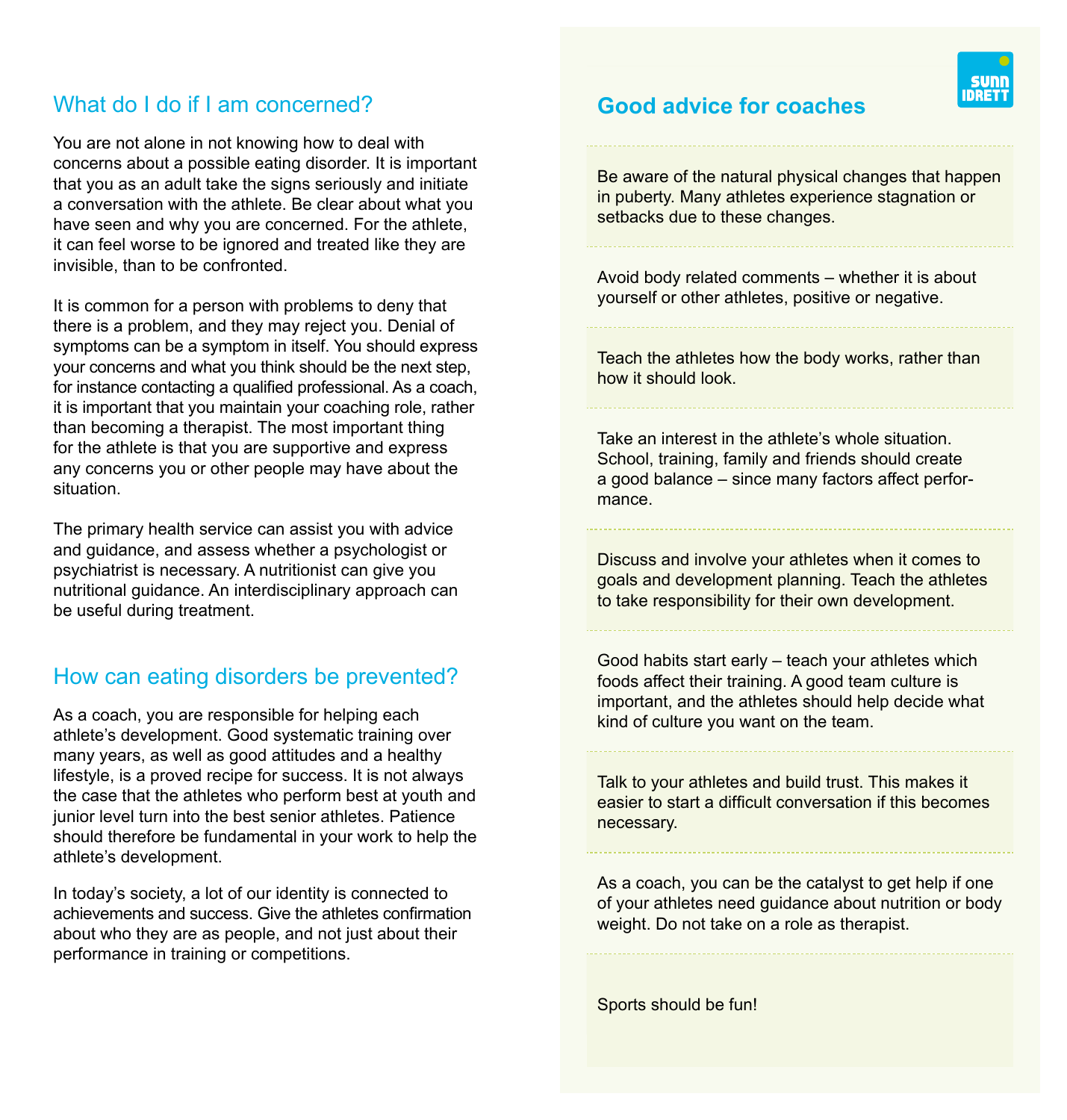## What do I do if I am concerned?

You are not alone in not knowing how to deal with concerns about a possible eating disorder. It is important that you as an adult take the signs seriously and initiate a conversation with the athlete. Be clear about what you have seen and why you are concerned. For the athlete, it can feel worse to be ignored and treated like they are invisible, than to be confronted.

It is common for a person with problems to deny that there is a problem, and they may reject you. Denial of symptoms can be a symptom in itself. You should express your concerns and what you think should be the next step, for instance contacting a qualified professional. As a coach, it is important that you maintain your coaching role, rather than becoming a therapist. The most important thing for the athlete is that you are supportive and express any concerns you or other people may have about the situation.

The primary health service can assist you with advice and guidance, and assess whether a psychologist or psychiatrist is necessary. A nutritionist can give you nutritional guidance. An interdisciplinary approach can be useful during treatment.

## How can eating disorders be prevented?

As a coach, you are responsible for helping each athlete's development. Good systematic training over many years, as well as good attitudes and a healthy lifestyle, is a proved recipe for success. It is not always the case that the athletes who perform best at youth and junior level turn into the best senior athletes. Patience should therefore be fundamental in your work to help the athlete's development.

In today's society, a lot of our identity is connected to achievements and success. Give the athletes confirmation about who they are as people, and not just about their performance in training or competitions.

## **Good advice for coaches**

Be aware of the natural physical changes that happen in puberty. Many athletes experience stagnation or setbacks due to these changes.

Avoid body related comments – whether it is about yourself or other athletes, positive or negative.

Teach the athletes how the body works, rather than how it should look.

Take an interest in the athlete's whole situation. School, training, family and friends should create a good balance – since many factors affect performance.

Discuss and involve your athletes when it comes to goals and development planning. Teach the athletes to take responsibility for their own development.

Good habits start early – teach your athletes which foods affect their training. A good team culture is important, and the athletes should help decide what kind of culture you want on the team.

Talk to your athletes and build trust. This makes it easier to start a difficult conversation if this becomes necessary.

As a coach, you can be the catalyst to get help if one of your athletes need guidance about nutrition or body weight. Do not take on a role as therapist.

Sports should be fun!